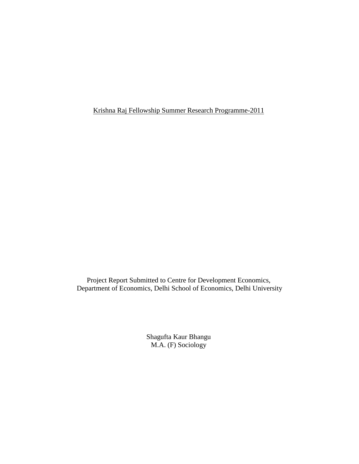Krishna Raj Fellowship Summer Research Programme-2011

Project Report Submitted to Centre for Development Economics, Department of Economics, Delhi School of Economics, Delhi University

> Shagufta Kaur Bhangu M.A. (F) Sociology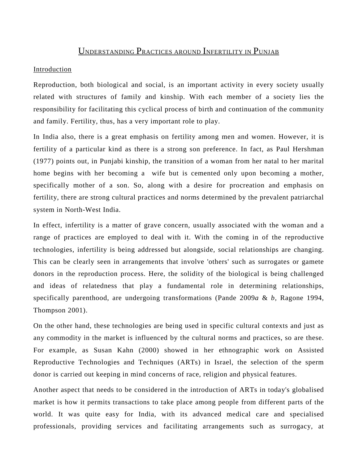# UNDERSTANDING PRACTICES AROUND INFERTILITY IN PUNJAB

#### Introduction

Reproduction, both biological and social, is an important activity in every society usually related with structures of family and kinship. With each member of a society lies the responsibility for facilitating this cyclical process of birth and continuation of the community and family. Fertility, thus, has a very important role to play.

In India also, there is a great emphasis on fertility among men and women. However, it is fertility of a particular kind as there is a strong son preference. In fact, as Paul Hershman (1977) points out, in Punjabi kinship, the transition of a woman from her natal to her marital home begins with her becoming a wife but is cemented only upon becoming a mother, specifically mother of a son. So, along with a desire for procreation and emphasis on fertility, there are strong cultural practices and norms determined by the prevalent patriarchal system in North-West India.

In effect, infertility is a matter of grave concern, usually associated with the woman and a range of practices are employed to deal with it. With the coming in of the reproductive technologies, infertility is being addressed but alongside, social relationships are changing. This can be clearly seen in arrangements that involve 'others' such as surrogates or gamete donors in the reproduction process. Here, the solidity of the biological is being challenged and ideas of relatedness that play a fundamental role in determining relationships, specifically parenthood, are undergoing transformations (Pande 2009*a* & *b,* Ragone 1994, Thompson 2001).

On the other hand, these technologies are being used in specific cultural contexts and just as any commodity in the market is influenced by the cultural norms and practices, so are these. For example, as Susan Kahn (2000) showed in her ethnographic work on Assisted Reproductive Technologies and Techniques (ARTs) in Israel, the selection of the sperm donor is carried out keeping in mind concerns of race, religion and physical features.

Another aspect that needs to be considered in the introduction of ARTs in today's globalised market is how it permits transactions to take place among people from different parts of the world. It was quite easy for India, with its advanced medical care and specialised professionals, providing services and facilitating arrangements such as surrogacy, at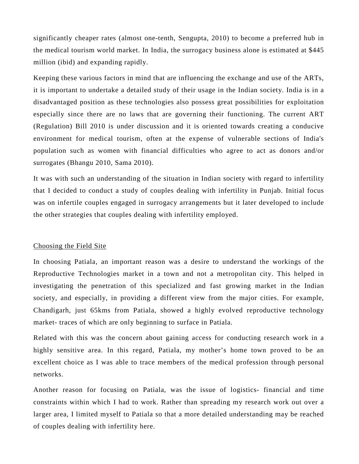significantly cheaper rates (almost one-tenth, Sengupta, 2010) to become a preferred hub in the medical tourism world market. In India, the surrogacy business alone is estimated at \$445 million (ibid) and expanding rapidly.

Keeping these various factors in mind that are influencing the exchange and use of the ARTs, it is important to undertake a detailed study of their usage in the Indian society. India is in a disadvantaged position as these technologies also possess great possibilities for exploitation especially since there are no laws that are governing their functioning. The current ART (Regulation) Bill 2010 is under discussion and it is oriented towards creating a conducive environment for medical tourism, often at the expense of vulnerable sections of India's population such as women with financial difficulties who agree to act as donors and/or surrogates (Bhangu 2010, Sama 2010).

It was with such an understanding of the situation in Indian society with regard to infertility that I decided to conduct a study of couples dealing with infertility in Punjab. Initial focus was on infertile couples engaged in surrogacy arrangements but it later developed to include the other strategies that couples dealing with infertility employed.

#### Choosing the Field Site

In choosing Patiala, an important reason was a desire to understand the workings of the Reproductive Technologies market in a town and not a metropolitan city. This helped in investigating the penetration of this specialized and fast growing market in the Indian society, and especially, in providing a different view from the major cities. For example, Chandigarh, just 65kms from Patiala, showed a highly evolved reproductive technology market- traces of which are only beginning to surface in Patiala.

Related with this was the concern about gaining access for conducting research work in a highly sensitive area. In this regard, Patiala, my mother's home town proved to be an excellent choice as I was able to trace members of the medical profession through personal networks.

Another reason for focusing on Patiala, was the issue of logistics- financial and time constraints within which I had to work. Rather than spreading my research work out over a larger area, I limited myself to Patiala so that a more detailed understanding may be reached of couples dealing with infertility here.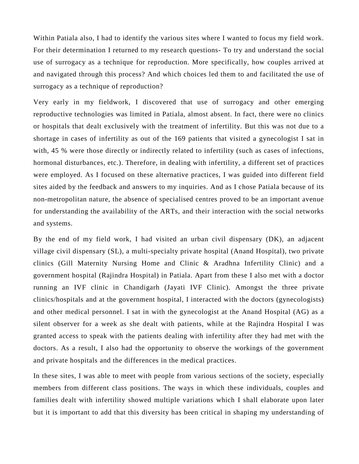Within Patiala also, I had to identify the various sites where I wanted to focus my field work. For their determination I returned to my research questions- To try and understand the social use of surrogacy as a technique for reproduction. More specifically, how couples arrived at and navigated through this process? And which choices led them to and facilitated the use of surrogacy as a technique of reproduction?

Very early in my fieldwork, I discovered that use of surrogacy and other emerging reproductive technologies was limited in Patiala, almost absent. In fact, there were no clinics or hospitals that dealt exclusively with the treatment of infertility. But this was not due to a shortage in cases of infertility as out of the 169 patients that visited a gynecologist I sat in with, 45 % were those directly or indirectly related to infertility (such as cases of infections, hormonal disturbances, etc.). Therefore, in dealing with infertility, a different set of practices were employed. As I focused on these alternative practices, I was guided into different field sites aided by the feedback and answers to my inquiries. And as I chose Patiala because of its non-metropolitan nature, the absence of specialised centres proved to be an important avenue for understanding the availability of the ARTs, and their interaction with the social networks and systems.

By the end of my field work, I had visited an urban civil dispensary (DK), an adjacent village civil dispensary (SL), a multi-specialty private hospital (Anand Hospital), two private clinics (Gill Maternity Nursing Home and Clinic & Aradhna Infertility Clinic) and a government hospital (Rajindra Hospital) in Patiala. Apart from these I also met with a doctor running an IVF clinic in Chandigarh (Jayati IVF Clinic). Amongst the three private clinics/hospitals and at the government hospital, I interacted with the doctors (gynecologists) and other medical personnel. I sat in with the gynecologist at the Anand Hospital (AG) as a silent observer for a week as she dealt with patients, while at the Rajindra Hospital I was granted access to speak with the patients dealing with infertility after they had met with the doctors. As a result, I also had the opportunity to observe the workings of the government and private hospitals and the differences in the medical practices.

In these sites, I was able to meet with people from various sections of the society, especially members from different class positions. The ways in which these individuals, couples and families dealt with infertility showed multiple variations which I shall elaborate upon later but it is important to add that this diversity has been critical in shaping my understanding of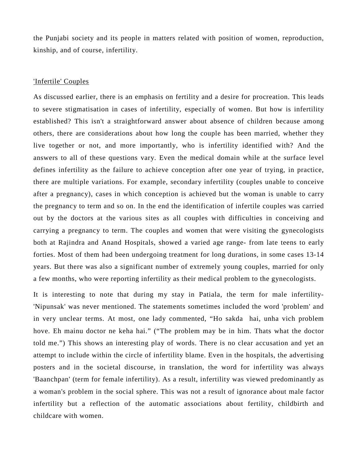the Punjabi society and its people in matters related with position of women, reproduction, kinship, and of course, infertility.

### 'Infertile' Couples

As discussed earlier, there is an emphasis on fertility and a desire for procreation. This leads to severe stigmatisation in cases of infertility, especially of women. But how is infertility established? This isn't a straightforward answer about absence of children because among others, there are considerations about how long the couple has been married, whether they live together or not, and more importantly, who is infertility identified with? And the answers to all of these questions vary. Even the medical domain while at the surface level defines infertility as the failure to achieve conception after one year of trying, in practice, there are multiple variations. For example, secondary infertility (couples unable to conceive after a pregnancy), cases in which conception is achieved but the woman is unable to carry the pregnancy to term and so on. In the end the identification of infertile couples was carried out by the doctors at the various sites as all couples with difficulties in conceiving and carrying a pregnancy to term. The couples and women that were visiting the gynecologists both at Rajindra and Anand Hospitals, showed a varied age range- from late teens to early forties. Most of them had been undergoing treatment for long durations, in some cases 13-14 years. But there was also a significant number of extremely young couples, married for only a few months, who were reporting infertility as their medical problem to the gynecologists.

It is interesting to note that during my stay in Patiala, the term for male infertility- 'Nipunsak' was never mentioned. The statements sometimes included the word 'problem' and in very unclear terms. At most, one lady commented, "Ho sakda hai, unha vich problem hove. Eh mainu doctor ne keha hai." ("The problem may be in him. Thats what the doctor told me.") This shows an interesting play of words. There is no clear accusation and yet an attempt to include within the circle of infertility blame. Even in the hospitals, the advertising posters and in the societal discourse, in translation, the word for infertility was always 'Baanchpan' (term for female infertility). As a result, infertility was viewed predominantly as a woman's problem in the social sphere. This was not a result of ignorance about male factor infertility but a reflection of the automatic associations about fertility, childbirth and childcare with women.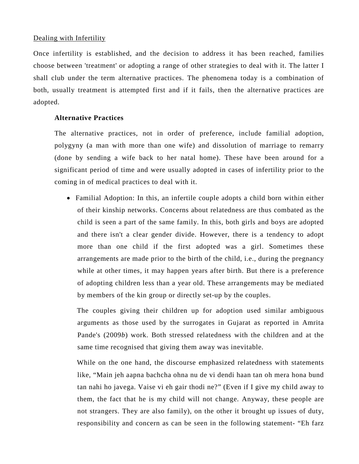### Dealing with Infertility

Once infertility is established, and the decision to address it has been reached, families choose between 'treatment' or adopting a range of other strategies to deal with it. The latter I shall club under the term alternative practices. The phenomena today is a combination of both, usually treatment is attempted first and if it fails, then the alternative practices are adopted.

### **Alternative Practices**

The alternative practices, not in order of preference, include familial adoption, polygyny (a man with more than one wife) and dissolution of marriage to remarry (done by sending a wife back to her natal home). These have been around for a significant period of time and were usually adopted in cases of infertility prior to the coming in of medical practices to deal with it.

• Familial Adoption: In this, an infertile couple adopts a child born within either of their kinship networks. Concerns about relatedness are thus combated as the child is seen a part of the same family. In this, both girls and boys are adopted and there isn't a clear gender divide. However, there is a tendency to adopt more than one child if the first adopted was a girl. Sometimes these arrangements are made prior to the birth of the child, i.e., during the pregnancy while at other times, it may happen years after birth. But there is a preference of adopting children less than a year old. These arrangements may be mediated by members of the kin group or directly set-up by the couples.

The couples giving their children up for adoption used similar ambiguous arguments as those used by the surrogates in Gujarat as reported in Amrita Pande's (2009*b*) work. Both stressed relatedness with the children and at the same time recognised that giving them away was inevitable.

While on the one hand, the discourse emphasized relatedness with statements like, "Main jeh aapna bachcha ohna nu de vi dendi haan tan oh mera hona bund tan nahi ho javega. Vaise vi eh gair thodi ne?" (Even if I give my child away to them, the fact that he is my child will not change. Anyway, these people are not strangers. They are also family), on the other it brought up issues of duty, responsibility and concern as can be seen in the following statement- "Eh farz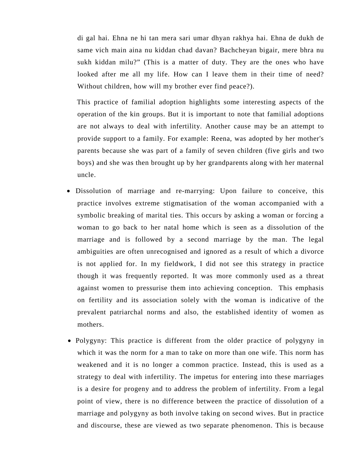di gal hai. Ehna ne hi tan mera sari umar dhyan rakhya hai. Ehna de dukh de same vich main aina nu kiddan chad davan? Bachcheyan bigair, mere bhra nu sukh kiddan milu?" (This is a matter of duty. They are the ones who have looked after me all my life. How can I leave them in their time of need? Without children, how will my brother ever find peace?).

This practice of familial adoption highlights some interesting aspects of the operation of the kin groups. But it is important to note that familial adoptions are not always to deal with infertility. Another cause may be an attempt to provide support to a family. For example: Reena, was adopted by her mother's parents because she was part of a family of seven children (five girls and two boys) and she was then brought up by her grandparents along with her maternal uncle.

- Dissolution of marriage and re-marrying: Upon failure to conceive, this practice involves extreme stigmatisation of the woman accompanied with a symbolic breaking of marital ties. This occurs by asking a woman or forcing a woman to go back to her natal home which is seen as a dissolution of the marriage and is followed by a second marriage by the man. The legal ambiguities are often unrecognised and ignored as a result of which a divorce is not applied for. In my fieldwork, I did not see this strategy in practice though it was frequently reported. It was more commonly used as a threat against women to pressurise them into achieving conception. This emphasis on fertility and its association solely with the woman is indicative of the prevalent patriarchal norms and also, the established identity of women as mothers.
- Polygyny: This practice is different from the older practice of polygyny in which it was the norm for a man to take on more than one wife. This norm has weakened and it is no longer a common practice. Instead, this is used as a strategy to deal with infertility. The impetus for entering into these marriages is a desire for progeny and to address the problem of infertility. From a legal point of view, there is no difference between the practice of dissolution of a marriage and polygyny as both involve taking on second wives. But in practice and discourse, these are viewed as two separate phenomenon. This is because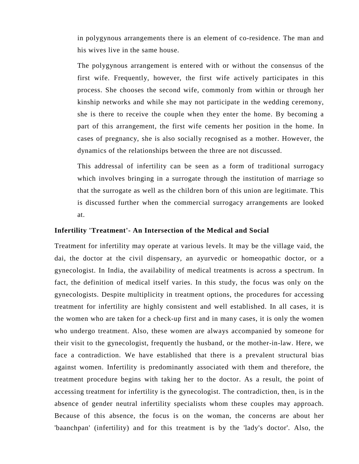in polygynous arrangements there is an element of co-residence. The man and his wives live in the same house.

The polygynous arrangement is entered with or without the consensus of the first wife. Frequently, however, the first wife actively participates in this process. She chooses the second wife, commonly from within or through her kinship networks and while she may not participate in the wedding ceremony, she is there to receive the couple when they enter the home. By becoming a part of this arrangement, the first wife cements her position in the home. In cases of pregnancy, she is also socially recognised as a mother. However, the dynamics of the relationships between the three are not discussed.

This addressal of infertility can be seen as a form of traditional surrogacy which involves bringing in a surrogate through the institution of marriage so that the surrogate as well as the children born of this union are legitimate. This is discussed further when the commercial surrogacy arrangements are looked at.

#### **Infertility 'Treatment'- An Intersection of the Medical and Social**

Treatment for infertility may operate at various levels. It may be the village vaid, the dai, the doctor at the civil dispensary, an ayurvedic or homeopathic doctor, or a gynecologist. In India, the availability of medical treatments is across a spectrum. In fact, the definition of medical itself varies. In this study, the focus was only on the gynecologists. Despite multiplicity in treatment options, the procedures for accessing treatment for infertility are highly consistent and well established. In all cases, it is the women who are taken for a check-up first and in many cases, it is only the women who undergo treatment. Also, these women are always accompanied by someone for their visit to the gynecologist, frequently the husband, or the mother-in-law. Here, we face a contradiction. We have established that there is a prevalent structural bias against women. Infertility is predominantly associated with them and therefore, the treatment procedure begins with taking her to the doctor. As a result, the point of accessing treatment for infertility is the gynecologist. The contradiction, then, is in the absence of gender neutral infertility specialists whom these couples may approach. Because of this absence, the focus is on the woman, the concerns are about her 'baanchpan' (infertility) and for this treatment is by the 'lady's doctor'. Also, the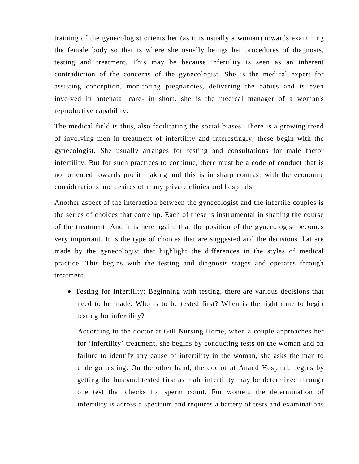training of the gynecologist orients her (as it is usually a woman) towards examining the female body so that is where she usually beings her procedures of diagnosis, testing and treatment. This may be because infertility is seen as an inherent contradiction of the concerns of the gynecologist. She is the medical expert for assisting conception, monitoring pregnancies, delivering the babies and is even involved in antenatal care- in short, she is the medical manager of a woman's reproductive capability.

The medical field is thus, also facilitating the social biases. There is a growing trend of involving men in treatment of infertility and interestingly, these begin with the gynecologist. She usually arranges for testing and consultations for male factor infertility. But for such practices to continue, there must be a code of conduct that is not oriented towards profit making and this is in sharp contrast with the economic considerations and desires of many private clinics and hospitals.

Another aspect of the interaction between the gynecologist and the infertile couples is the series of choices that come up. Each of these is instrumental in shaping the course of the treatment. And it is here again, that the position of the gynecologist becomes very important. It is the type of choices that are suggested and the decisions that are made by the gynecologist that highlight the differences in the styles of medical practice. This begins with the testing and diagnosis stages and operates through treatment.

• Testing for Infertility: Beginning with testing, there are various decisions that need to be made. Who is to be tested first? When is the right time to begin testing for infertility?

According to the doctor at Gill Nursing Home, when a couple approaches her for 'infertility' treatment, she begins by conducting tests on the woman and on failure to identify any cause of infertility in the woman, she asks the man to undergo testing. On the other hand, the doctor at Anand Hospital, begins by getting the husband tested first as male infertility may be determined through one test that checks for sperm count. For women, the determination of infertility is across a spectrum and requires a battery of tests and examinations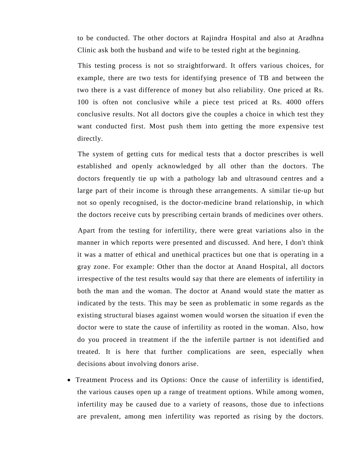to be conducted. The other doctors at Rajindra Hospital and also at Aradhna Clinic ask both the husband and wife to be tested right at the beginning.

This testing process is not so straightforward. It offers various choices, for example, there are two tests for identifying presence of TB and between the two there is a vast difference of money but also reliability. One priced at Rs. 100 is often not conclusive while a piece test priced at Rs. 4000 offers conclusive results. Not all doctors give the couples a choice in which test they want conducted first. Most push them into getting the more expensive test directly.

The system of getting cuts for medical tests that a doctor prescribes is well established and openly acknowledged by all other than the doctors. The doctors frequently tie up with a pathology lab and ultrasound centres and a large part of their income is through these arrangements. A similar tie-up but not so openly recognised, is the doctor-medicine brand relationship, in which the doctors receive cuts by prescribing certain brands of medicines over others.

Apart from the testing for infertility, there were great variations also in the manner in which reports were presented and discussed. And here, I don't think it was a matter of ethical and unethical practices but one that is operating in a gray zone. For example: Other than the doctor at Anand Hospital, all doctors irrespective of the test results would say that there are elements of infertility in both the man and the woman. The doctor at Anand would state the matter as indicated by the tests. This may be seen as problematic in some regards as the existing structural biases against women would worsen the situation if even the doctor were to state the cause of infertility as rooted in the woman. Also, how do you proceed in treatment if the the infertile partner is not identified and treated. It is here that further complications are seen, especially when decisions about involving donors arise.

• Treatment Process and its Options: Once the cause of infertility is identified, the various causes open up a range of treatment options. While among women, infertility may be caused due to a variety of reasons, those due to infections are prevalent, among men infertility was reported as rising by the doctors.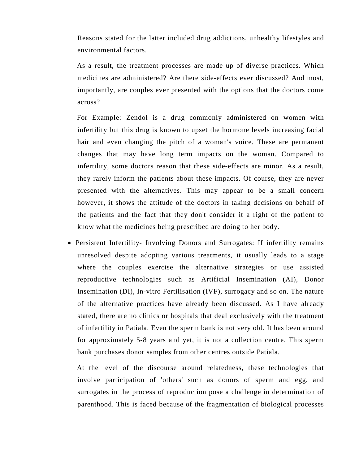Reasons stated for the latter included drug addictions, unhealthy lifestyles and environmental factors.

As a result, the treatment processes are made up of diverse practices. Which medicines are administered? Are there side-effects ever discussed? And most, importantly, are couples ever presented with the options that the doctors come across?

For Example: Zendol is a drug commonly administered on women with infertility but this drug is known to upset the hormone levels increasing facial hair and even changing the pitch of a woman's voice. These are permanent changes that may have long term impacts on the woman. Compared to infertility, some doctors reason that these side-effects are minor. As a result, they rarely inform the patients about these impacts. Of course, they are never presented with the alternatives. This may appear to be a small concern however, it shows the attitude of the doctors in taking decisions on behalf of the patients and the fact that they don't consider it a right of the patient to know what the medicines being prescribed are doing to her body.

• Persistent Infertility- Involving Donors and Surrogates: If infertility remains unresolved despite adopting various treatments, it usually leads to a stage where the couples exercise the alternative strategies or use assisted reproductive technologies such as Artificial Insemination (AI), Donor Insemination (DI), In-vitro Fertilisation (IVF), surrogacy and so on. The nature of the alternative practices have already been discussed. As I have already stated, there are no clinics or hospitals that deal exclusively with the treatment of infertility in Patiala. Even the sperm bank is not very old. It has been around for approximately 5-8 years and yet, it is not a collection centre. This sperm bank purchases donor samples from other centres outside Patiala.

At the level of the discourse around relatedness, these technologies that involve participation of 'others' such as donors of sperm and egg, and surrogates in the process of reproduction pose a challenge in determination of parenthood. This is faced because of the fragmentation of biological processes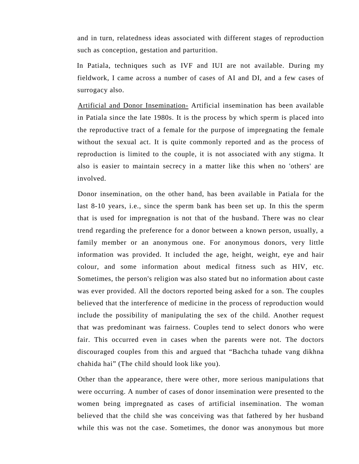and in turn, relatedness ideas associated with different stages of reproduction such as conception, gestation and parturition.

In Patiala, techniques such as IVF and IUI are not available. During my fieldwork, I came across a number of cases of AI and DI, and a few cases of surrogacy also.

Artificial and Donor Insemination- Artificial insemination has been available in Patiala since the late 1980s. It is the process by which sperm is placed into the reproductive tract of a female for the purpose of impregnating the female without the sexual act. It is quite commonly reported and as the process of reproduction is limited to the couple, it is not associated with any stigma. It also is easier to maintain secrecy in a matter like this when no 'others' are involved.

Donor insemination, on the other hand, has been available in Patiala for the last 8-10 years, i.e., since the sperm bank has been set up. In this the sperm that is used for impregnation is not that of the husband. There was no clear trend regarding the preference for a donor between a known person, usually, a family member or an anonymous one. For anonymous donors, very little information was provided. It included the age, height, weight, eye and hair colour, and some information about medical fitness such as HIV, etc. Sometimes, the person's religion was also stated but no information about caste was ever provided. All the doctors reported being asked for a son. The couples believed that the interference of medicine in the process of reproduction would include the possibility of manipulating the sex of the child. Another request that was predominant was fairness. Couples tend to select donors who were fair. This occurred even in cases when the parents were not. The doctors discouraged couples from this and argued that "Bachcha tuhade vang dikhna chahida hai" (The child should look like you).

Other than the appearance, there were other, more serious manipulations that were occurring. A number of cases of donor insemination were presented to the women being impregnated as cases of artificial insemination. The woman believed that the child she was conceiving was that fathered by her husband while this was not the case. Sometimes, the donor was anonymous but more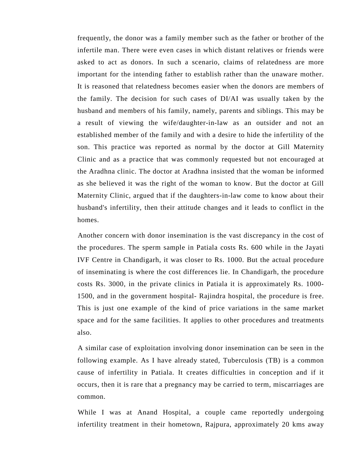frequently, the donor was a family member such as the father or brother of the infertile man. There were even cases in which distant relatives or friends were asked to act as donors. In such a scenario, claims of relatedness are more important for the intending father to establish rather than the unaware mother. It is reasoned that relatedness becomes easier when the donors are members of the family. The decision for such cases of DI/AI was usually taken by the husband and members of his family, namely, parents and siblings. This may be a result of viewing the wife/daughter-in-law as an outsider and not an established member of the family and with a desire to hide the infertility of the son. This practice was reported as normal by the doctor at Gill Maternity Clinic and as a practice that was commonly requested but not encouraged at the Aradhna clinic. The doctor at Aradhna insisted that the woman be informed as she believed it was the right of the woman to know. But the doctor at Gill Maternity Clinic, argued that if the daughters-in-law come to know about their husband's infertility, then their attitude changes and it leads to conflict in the homes.

Another concern with donor insemination is the vast discrepancy in the cost of the procedures. The sperm sample in Patiala costs Rs. 600 while in the Jayati IVF Centre in Chandigarh, it was closer to Rs. 1000. But the actual procedure of inseminating is where the cost differences lie. In Chandigarh, the procedure costs Rs. 3000, in the private clinics in Patiala it is approximately Rs. 1000- 1500, and in the government hospital- Rajindra hospital, the procedure is free. This is just one example of the kind of price variations in the same market space and for the same facilities. It applies to other procedures and treatments also.

A similar case of exploitation involving donor insemination can be seen in the following example. As I have already stated, Tuberculosis (TB) is a common cause of infertility in Patiala. It creates difficulties in conception and if it occurs, then it is rare that a pregnancy may be carried to term, miscarriages are common.

While I was at Anand Hospital, a couple came reportedly undergoing infertility treatment in their hometown, Rajpura, approximately 20 kms away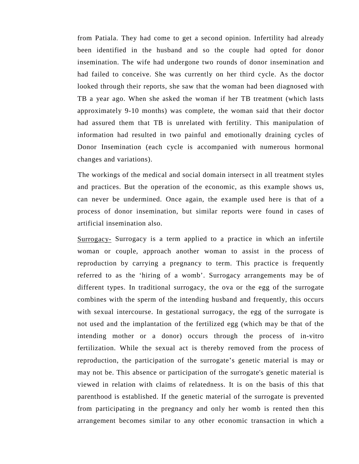from Patiala. They had come to get a second opinion. Infertility had already been identified in the husband and so the couple had opted for donor insemination. The wife had undergone two rounds of donor insemination and had failed to conceive. She was currently on her third cycle. As the doctor looked through their reports, she saw that the woman had been diagnosed with TB a year ago. When she asked the woman if her TB treatment (which lasts approximately 9-10 months) was complete, the woman said that their doctor had assured them that TB is unrelated with fertility. This manipulation of information had resulted in two painful and emotionally draining cycles of Donor Insemination (each cycle is accompanied with numerous hormonal changes and variations).

The workings of the medical and social domain intersect in all treatment styles and practices. But the operation of the economic, as this example shows us, can never be undermined. Once again, the example used here is that of a process of donor insemination, but similar reports were found in cases of artificial insemination also.

Surrogacy- Surrogacy is a term applied to a practice in which an infertile woman or couple, approach another woman to assist in the process of reproduction by carrying a pregnancy to term. This practice is frequently referred to as the 'hiring of a womb'. Surrogacy arrangements may be of different types. In traditional surrogacy, the ova or the egg of the surrogate combines with the sperm of the intending husband and frequently, this occurs with sexual intercourse. In gestational surrogacy, the egg of the surrogate is not used and the implantation of the fertilized egg (which may be that of the intending mother or a donor) occurs through the process of in-vitro fertilization. While the sexual act is thereby removed from the process of reproduction, the participation of the surrogate's genetic material is may or may not be. This absence or participation of the surrogate's genetic material is viewed in relation with claims of relatedness. It is on the basis of this that parenthood is established. If the genetic material of the surrogate is prevented from participating in the pregnancy and only her womb is rented then this arrangement becomes similar to any other economic transaction in which a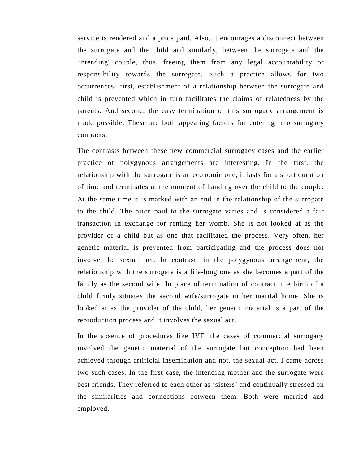service is rendered and a price paid. Also, it encourages a disconnect between the surrogate and the child and similarly, between the surrogate and the 'intending' couple, thus, freeing them from any legal accountability or responsibility towards the surrogate. Such a practice allows for two occurrences- first, establishment of a relationship between the surrogate and child is prevented which in turn facilitates the claims of relatedness by the parents. And second, the easy termination of this surrogacy arrangement is made possible. These are both appealing factors for entering into surrogacy contracts.

The contrasts between these new commercial surrogacy cases and the earlier practice of polygynous arrangements are interesting. In the first, the relationship with the surrogate is an economic one, it lasts for a short duration of time and terminates at the moment of handing over the child to the couple. At the same time it is marked with an end in the relationship of the surrogate to the child. The price paid to the surrogate varies and is considered a fair transaction in exchange for renting her womb. She is not looked at as the provider of a child but as one that facilitated the process. Very often, her genetic material is prevented from participating and the process does not involve the sexual act. In contrast, in the polygynous arrangement, the relationship with the surrogate is a life-long one as she becomes a part of the family as the second wife. In place of termination of contract, the birth of a child firmly situates the second wife/surrogate in her marital home. She is looked at as the provider of the child, her genetic material is a part of the reproduction process and it involves the sexual act.

In the absence of procedures like IVF, the cases of commercial surrogacy involved the genetic material of the surrogate but conception had been achieved through artificial insemination and not, the sexual act. I came across two such cases. In the first case, the intending mother and the surrogate were best friends. They referred to each other as 'sisters' and continually stressed on the similarities and connections between them. Both were married and employed.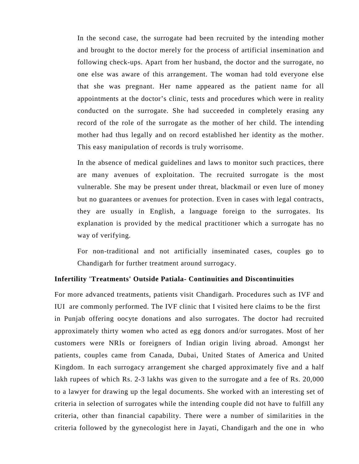In the second case, the surrogate had been recruited by the intending mother and brought to the doctor merely for the process of artificial insemination and following check-ups. Apart from her husband, the doctor and the surrogate, no one else was aware of this arrangement. The woman had told everyone else that she was pregnant. Her name appeared as the patient name for all appointments at the doctor's clinic, tests and procedures which were in reality conducted on the surrogate. She had succeeded in completely erasing any record of the role of the surrogate as the mother of her child. The intending mother had thus legally and on record established her identity as the mother. This easy manipulation of records is truly worrisome.

In the absence of medical guidelines and laws to monitor such practices, there are many avenues of exploitation. The recruited surrogate is the most vulnerable. She may be present under threat, blackmail or even lure of money but no guarantees or avenues for protection. Even in cases with legal contracts, they are usually in English, a language foreign to the surrogates. Its explanation is provided by the medical practitioner which a surrogate has no way of verifying.

For non-traditional and not artificially inseminated cases, couples go to Chandigarh for further treatment around surrogacy.

## **Infertility 'Treatments' Outside Patiala- Continuities and Discontinuities**

For more advanced treatments, patients visit Chandigarh. Procedures such as IVF and IUI are commonly performed. The IVF clinic that I visited here claims to be the first in Punjab offering oocyte donations and also surrogates. The doctor had recruited approximately thirty women who acted as egg donors and/or surrogates. Most of her customers were NRIs or foreigners of Indian origin living abroad. Amongst her patients, couples came from Canada, Dubai, United States of America and United Kingdom. In each surrogacy arrangement she charged approximately five and a half lakh rupees of which Rs. 2-3 lakhs was given to the surrogate and a fee of Rs. 20,000 to a lawyer for drawing up the legal documents. She worked with an interesting set of criteria in selection of surrogates while the intending couple did not have to fulfill any criteria, other than financial capability. There were a number of similarities in the criteria followed by the gynecologist here in Jayati, Chandigarh and the one in who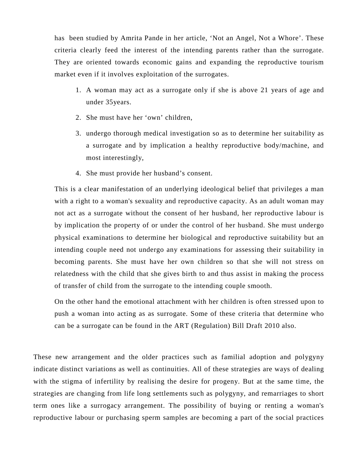has been studied by Amrita Pande in her article, 'Not an Angel, Not a Whore'. These criteria clearly feed the interest of the intending parents rather than the surrogate. They are oriented towards economic gains and expanding the reproductive tourism market even if it involves exploitation of the surrogates.

- 1. A woman may act as a surrogate only if she is above 21 years of age and under 35years.
- 2. She must have her 'own' children,
- 3. undergo thorough medical investigation so as to determine her suitability as a surrogate and by implication a healthy reproductive body/machine, and most interestingly,
- 4. She must provide her husband's consent.

This is a clear manifestation of an underlying ideological belief that privileges a man with a right to a woman's sexuality and reproductive capacity. As an adult woman may not act as a surrogate without the consent of her husband, her reproductive labour is by implication the property of or under the control of her husband. She must undergo physical examinations to determine her biological and reproductive suitability but an intending couple need not undergo any examinations for assessing their suitability in becoming parents. She must have her own children so that she will not stress on relatedness with the child that she gives birth to and thus assist in making the process of transfer of child from the surrogate to the intending couple smooth.

On the other hand the emotional attachment with her children is often stressed upon to push a woman into acting as as surrogate. Some of these criteria that determine who can be a surrogate can be found in the ART (Regulation) Bill Draft 2010 also.

These new arrangement and the older practices such as familial adoption and polygyny indicate distinct variations as well as continuities. All of these strategies are ways of dealing with the stigma of infertility by realising the desire for progeny. But at the same time, the strategies are changing from life long settlements such as polygyny, and remarriages to short term ones like a surrogacy arrangement. The possibility of buying or renting a woman's reproductive labour or purchasing sperm samples are becoming a part of the social practices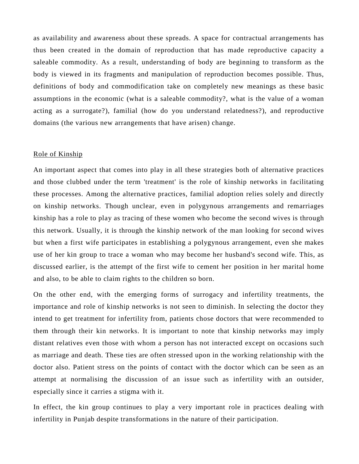as availability and awareness about these spreads. A space for contractual arrangements has thus been created in the domain of reproduction that has made reproductive capacity a saleable commodity. As a result, understanding of body are beginning to transform as the body is viewed in its fragments and manipulation of reproduction becomes possible. Thus, definitions of body and commodification take on completely new meanings as these basic assumptions in the economic (what is a saleable commodity?, what is the value of a woman acting as a surrogate?), familial (how do you understand relatedness?), and reproductive domains (the various new arrangements that have arisen) change.

#### Role of Kinship

An important aspect that comes into play in all these strategies both of alternative practices and those clubbed under the term 'treatment' is the role of kinship networks in facilitating these processes. Among the alternative practices, familial adoption relies solely and directly on kinship networks. Though unclear, even in polygynous arrangements and remarriages kinship has a role to play as tracing of these women who become the second wives is through this network. Usually, it is through the kinship network of the man looking for second wives but when a first wife participates in establishing a polygynous arrangement, even she makes use of her kin group to trace a woman who may become her husband's second wife. This, as discussed earlier, is the attempt of the first wife to cement her position in her marital home and also, to be able to claim rights to the children so born.

On the other end, with the emerging forms of surrogacy and infertility treatments, the importance and role of kinship networks is not seen to diminish. In selecting the doctor they intend to get treatment for infertility from, patients chose doctors that were recommended to them through their kin networks. It is important to note that kinship networks may imply distant relatives even those with whom a person has not interacted except on occasions such as marriage and death. These ties are often stressed upon in the working relationship with the doctor also. Patient stress on the points of contact with the doctor which can be seen as an attempt at normalising the discussion of an issue such as infertility with an outsider, especially since it carries a stigma with it.

In effect, the kin group continues to play a very important role in practices dealing with infertility in Punjab despite transformations in the nature of their participation.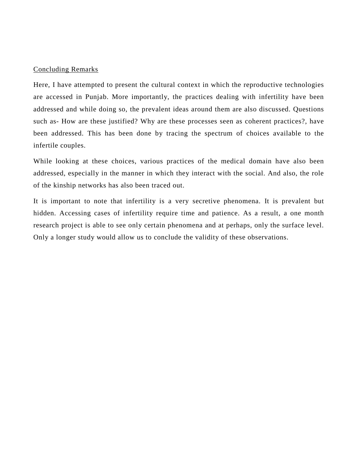### Concluding Remarks

Here, I have attempted to present the cultural context in which the reproductive technologies are accessed in Punjab. More importantly, the practices dealing with infertility have been addressed and while doing so, the prevalent ideas around them are also discussed. Questions such as- How are these justified? Why are these processes seen as coherent practices?, have been addressed. This has been done by tracing the spectrum of choices available to the infertile couples.

While looking at these choices, various practices of the medical domain have also been addressed, especially in the manner in which they interact with the social. And also, the role of the kinship networks has also been traced out.

It is important to note that infertility is a very secretive phenomena. It is prevalent but hidden. Accessing cases of infertility require time and patience. As a result, a one month research project is able to see only certain phenomena and at perhaps, only the surface level. Only a longer study would allow us to conclude the validity of these observations.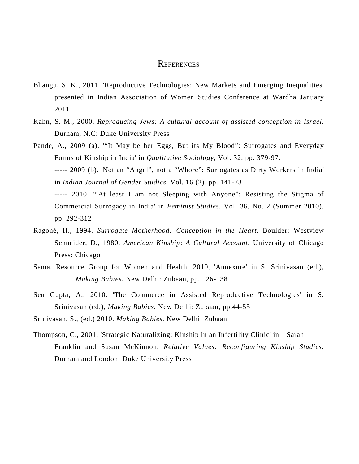## **REFERENCES**

- Bhangu, S. K., 2011. 'Reproductive Technologies: New Markets and Emerging Inequalities' presented in Indian Association of Women Studies Conference at Wardha January 2011
- Kahn, S. M., 2000. *Reproducing Jews: A cultural account of assisted conception in Israel*. Durham, N.C: Duke University Press
- Pande, A., 2009 (a). '"It May be her Eggs, But its My Blood": Surrogates and Everyday Forms of Kinship in India' in *Qualitative Sociology*, Vol. 32. pp. 379-97.

----- 2009 (b). 'Not an "Angel", not a "Whore": Surrogates as Dirty Workers in India' in *Indian Journal of Gender Studies.* Vol. 16 (2). pp. 141-73

----- 2010. '"At least I am not Sleeping with Anyone": Resisting the Stigma of Commercial Surrogacy in India' in *Feminist Studies*. Vol. 36, No. 2 (Summer 2010). pp. 292-312

- Ragoné, H., 1994. *Surrogate Motherhood: Conception in the Heart*. Boulder: Westview Schneider, D., 1980. *American Kinship*: *A Cultural Account*. University of Chicago Press: Chicago
- Sama, Resource Group for Women and Health, 2010, 'Annexure' in S. Srinivasan (ed.), *Making Babies.* New Delhi: Zubaan, pp. 126-138
- Sen Gupta, A., 2010. 'The Commerce in Assisted Reproductive Technologies' in S. Srinivasan (ed.), *Making Babies.* New Delhi: Zubaan, pp.44-55

Srinivasan, S., (ed.) 2010. *Making Babies.* New Delhi: Zubaan

Thompson, C., 2001. 'Strategic Naturalizing: Kinship in an Infertility Clinic' in Sarah Franklin and Susan McKinnon. *Relative Values: Reconfiguring Kinship Studies*. Durham and London: Duke University Press